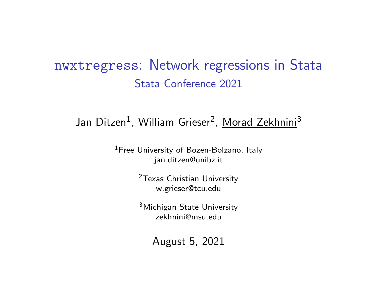## <span id="page-0-0"></span>nwxtregress: Network regressions in Stata Stata Conference 2021

## Jan Ditzen<sup>1</sup>, William Grieser<sup>2</sup>, <u>Morad Zekhnini</u><sup>3</sup>

<sup>1</sup>Free University of Bozen-Bolzano, Italy <jan.ditzen@unibz.it>

> <sup>2</sup>Texas Christian University <w.grieser@tcu.edu>

> <sup>3</sup>Michigan State University <zekhnini@msu.edu>

> > August 5, 2021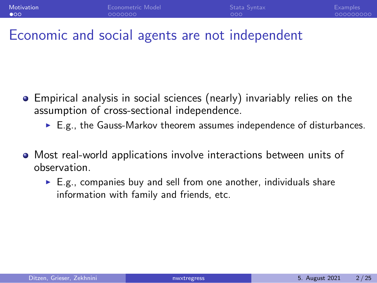## <span id="page-1-0"></span>Economic and social agents are not independent

- Empirical analysis in social sciences (nearly) invariably relies on the assumption of cross-sectional independence.
	- ► E.g., the Gauss-Markov theorem assumes independence of disturbances.
- Most real-world applications involve interactions between units of observation.
	- $\triangleright$  E.g., companies buy and sell from one another, individuals share information with family and friends, etc.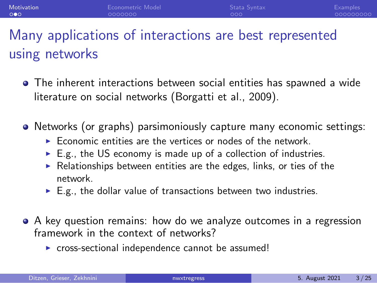# Many applications of interactions are best represented using networks

- The inherent interactions between social entities has spawned a wide literature on social networks [\(Borgatti et al., 2009](#page-23-0)).
- Networks (or graphs) parsimoniously capture many economic settings:
	- $\triangleright$  Economic entities are the vertices or nodes of the network.
	- $\blacktriangleright$  E.g., the US economy is made up of a collection of industries.
	- $\blacktriangleright$  Relationships between entities are the edges, links, or ties of the network.
	- $\blacktriangleright$  E.g., the dollar value of transactions between two industries.
- A key question remains: how do we analyze outcomes in a regression framework in the context of networks?
	- ▶ cross-sectional independence cannot be assumed!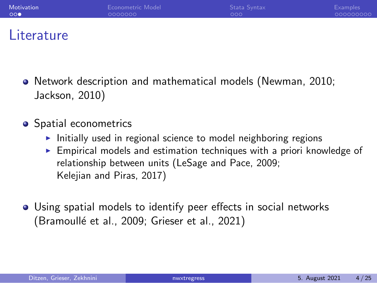| Motivation | Econometric Model | Stata Syntax | <b>Examples</b> |
|------------|-------------------|--------------|-----------------|
| ാറ⊜        | 0000000           | 000.         | 000000000       |
|            |                   |              |                 |

## **Literature**

- Network description and mathematical models [\(Newman, 2010;](#page-24-0) [Jackson, 2010](#page-23-1))
- Spatial econometrics
	- ▶ Initially used in regional science to model neighboring regions
	- ► Empirical models and estimation techniques with a priori knowledge of relationship between units [\(LeSage and Pace, 2009;](#page-24-1) [Kelejian and Piras, 2017](#page-23-2))
- Using spatial models to identify peer effects in social networks (Bramoullé et al., 2009; [Grieser et al., 2021\)](#page-23-4)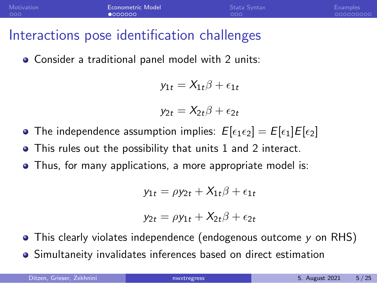## <span id="page-4-0"></span>Interactions pose identification challenges

Consider a traditional panel model with 2 units:

$$
y_{1t} = X_{1t}\beta + \epsilon_{1t}
$$

$$
y_{2t}=X_{2t}\beta+\epsilon_{2t}
$$

- **•** The independence assumption implies:  $E[\epsilon_1 \epsilon_2] = E[\epsilon_1]E[\epsilon_2]$
- This rules out the possibility that units 1 and 2 interact.  $\bullet$
- Thus, for many applications, a more appropriate model is:

$$
y_{1t} = \rho y_{2t} + X_{1t}\beta + \epsilon_{1t}
$$

$$
y_{2t} = \rho y_{1t} + X_{2t}\beta + \epsilon_{2t}
$$

- This clearly violates independence (endogenous outcome *y* on RHS)  $\bullet$
- Simultaneity invalidates inferences based on direct estimation  $\bullet$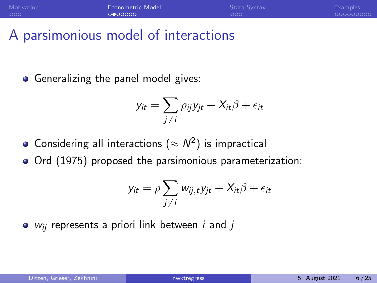## A parsimonious model of interactions

• Generalizing the panel model gives:

$$
y_{it} = \sum_{j \neq i} \rho_{ij} y_{jt} + X_{it} \beta + \epsilon_{it}
$$

- Considering all interactions ( $\approx N^2)$  is impractical
- Ord (1975) proposed the parsimonious parameterization:

$$
y_{it} = \rho \sum_{j \neq i} w_{ij,t} y_{jt} + X_{it} \beta + \epsilon_{it}
$$

*w*ij represents a priori link between *i* and *j*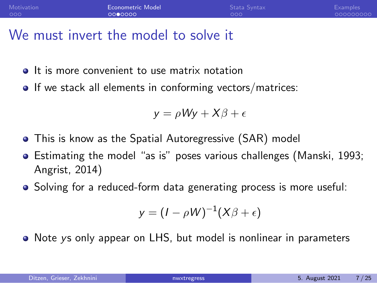## We must invert the model to solve it

- **It is more convenient to use matrix notation**
- **If we stack all elements in conforming vectors/matrices:**

$$
y = \rho Wy + X\beta + \epsilon
$$

- This is know as the Spatial Autoregressive (SAR) model
- **•** Estimating the model "as is" poses various challenges (Manski, 1993; Angrist, 2014)
- Solving for a reduced-form data generating process is more useful:

$$
y=(I-\rho W)^{-1}(X\beta+\epsilon)
$$

Note *y*s only appear on LHS, but model is nonlinear in parameters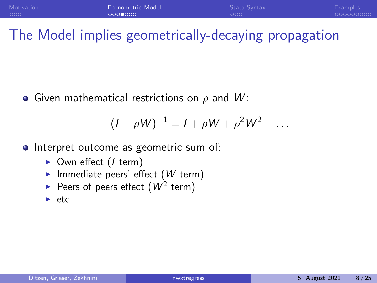## The Model implies geometrically-decaying propagation

Given mathematical restrictions on ρ and *W* :

$$
(I - \rho W)^{-1} = I + \rho W + \rho^2 W^2 + \dots
$$

- Interpret outcome as geometric sum of:
	- ▶ Own effect (*I* term)
	- ▶ Immediate peers' effect (*W* term)
	- Peers of peers effect  $(W^2$  term)
	- ► etc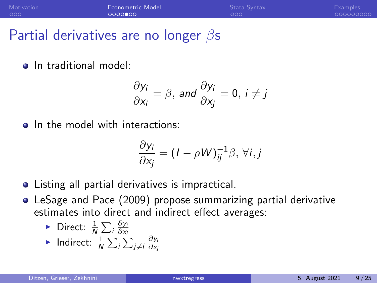| Motivation | Econometric Model | Stata Syntax | <b>Examples</b> |
|------------|-------------------|--------------|-----------------|
| 000        | 0000000           | .000         | 000000000       |

## Partial derivatives are no longer  $\beta$ s

• In traditional model:

$$
\frac{\partial y_i}{\partial x_i} = \beta, \text{ and } \frac{\partial y_i}{\partial x_j} = 0, i \neq j
$$

• In the model with interactions:

$$
\frac{\partial y_i}{\partial x_j} = (I - \rho W)^{-1}_{ij} \beta, \forall i, j
$$

- Listing all partial derivatives is impractical.
- LeSage and Pace (2009) propose summarizing partial derivative estimates into direct and indirect effect averages:

• Direct: 
$$
\frac{1}{N} \sum_i \frac{\partial y_i}{\partial x_i}
$$

► Indirect: 
$$
\frac{1}{N} \sum_{i} \sum_{j \neq i} \frac{\partial y_i}{\partial x_j}
$$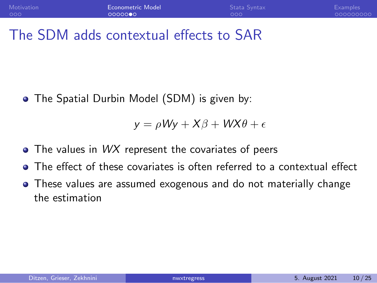## The SDM adds contextual effects to SAR

• The Spatial Durbin Model (SDM) is given by:

$$
y = \rho Wy + X\beta + WX\theta + \epsilon
$$

- **•** The values in *WX* represent the covariates of peers
- The effect of these covariates is often referred to a contextual effect
- These values are assumed exogenous and do not materially change the estimation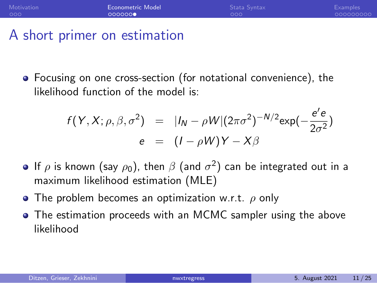## A short primer on estimation

Focusing on one cross-section (for notational convenience), the likelihood function of the model is:

$$
f(Y, X; \rho, \beta, \sigma^2) = |I_N - \rho W|(2\pi\sigma^2)^{-N/2} \exp(-\frac{e'e}{2\sigma^2})
$$
  

$$
e = (I - \rho W)Y - X\beta
$$

- If  $\rho$  is known (say  $\rho_0$ ), then  $\beta$  (and  $\sigma^2)$  can be integrated out in a maximum likelihood estimation (MLE)
- **•** The problem becomes an optimization w.r.t.  $\rho$  only
- The estimation proceeds with an MCMC sampler using the above likelihood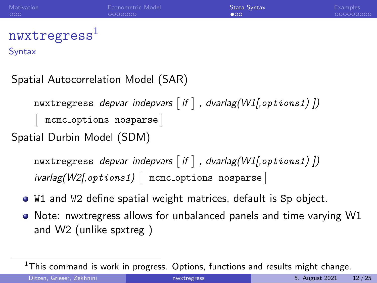<span id="page-11-0"></span>

| Motivation                  | Econometric Model | Stata Syntax | <b>Examples</b> |
|-----------------------------|-------------------|--------------|-----------------|
| 000                         | 0000000           | $\bullet$ 00 | 000000000       |
| $n$ wxtregress <sup>1</sup> |                   |              |                 |

**Syntax** 

#### Spatial Autocorrelation Model (SAR)

 $\texttt{nwxtregress}\ \textit{depara}\ \textit{indepvars}\ \textit{if}\ \textcolor{orange} \textsf{]}$  , dvarlag(W1[, $\texttt{options1)}\ \textit{]}$  $\overline{\phantom{a}}$ mcmc options nosparse Spatial Durbin Model (SDM)

nwxtregress *depvar indepvars* - *if , dvarlag(W1[,*options1*) ])*  $\lceil \textit{ivarlag}(\mathit{W2[}, \textit{options1}) \mid \texttt{mmc\_options} \texttt{nosparse} \mid \texttt{m}$ 

- W1 and W2 define spatial weight matrices, default is Sp object.
- Note: nwxtregress allows for unbalanced panels and time varying W1 and W2 (unlike spxtreg )

<sup>&</sup>lt;sup>1</sup>This command is work in progress. Options, functions and results might change.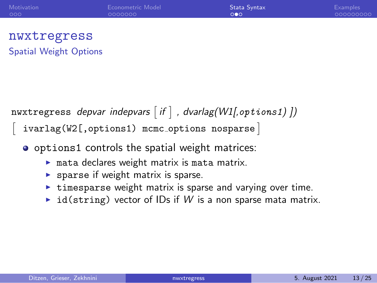| Motivation | Econometric Model | Stata Syntax          | <b>Examples</b> |
|------------|-------------------|-----------------------|-----------------|
| 000        | LOOOOOOO          | $\circ \bullet \circ$ | - 000000000     |

#### nwxtregress Spatial Weight Options

nwxtregress *depvar indepvars* - *if , dvarlag(W1[,*options1*) ])*

 $\overline{\phantom{a}}$ ivarlag(W2[,options1) mcmc options nosparse

- o options1 controls the spatial weight matrices:
	- $\triangleright$  mata declares weight matrix is mata matrix.
	- $\triangleright$  sparse if weight matrix is sparse.
	- ▶ timesparse weight matrix is sparse and varying over time.
	- $\triangleright$  id(string) vector of IDs if W is a non sparse mata matrix.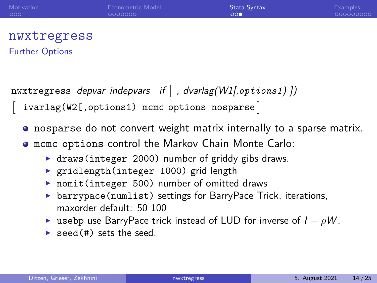| Motivation | Econometric Model | Stata Syntax | Examples  |
|------------|-------------------|--------------|-----------|
| 000        | 0000000           | 000          | 000000000 |

#### nwxtregress Further Options

 $\overline{\phantom{a}}$ 

 $\texttt{nwxtregress}\ \textit{depara}\ \textit{indepvars}\ \textit{if}\ \textcolor{orange}]\ ,\ \textit{dvarlag(W1[, options1)\ ]})$ 

ivarlag(W2[,options1) mcmc options nosparse

• nosparse do not convert weight matrix internally to a sparse matrix.

mcmc options control the Markov Chain Monte Carlo:

- $\triangleright$  draws(integer 2000) number of griddy gibs draws.
- ▶ gridlength(integer 1000) grid length
- ▶ nomit(integer 500) number of omitted draws
- ▶ barrypace(numlist) settings for BarryPace Trick, iterations, maxorder default: 50 100
- ◮ usebp use BarryPace trick instead of LUD for inverse of *I* − ρ*W* .
- $\triangleright$  seed  $(4)$  sets the seed.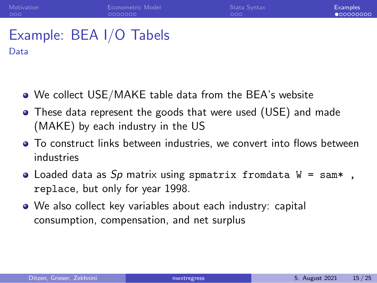### <span id="page-14-0"></span>Example: BEA I/O Tabels Data

- We collect USE/MAKE table data from the BEA's website
- These data represent the goods that were used (USE) and made (MAKE) by each industry in the US
- To construct links between industries, we convert into flows between industries
- Loaded data as *Sp* matrix using spmatrix fromdata W = sam\* , replace, but only for year 1998.
- We also collect key variables about each industry: capital consumption, compensation, and net surplus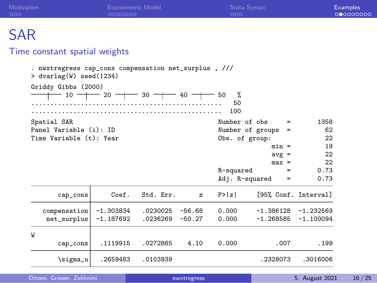| Motivation<br>000                                                                 | <b>Econometric Model</b><br>0000000 |           |          | Stata Syntax<br>000 |                         |                      | <b>Examples</b><br>000000000 |
|-----------------------------------------------------------------------------------|-------------------------------------|-----------|----------|---------------------|-------------------------|----------------------|------------------------------|
| <b>SAR</b>                                                                        |                                     |           |          |                     |                         |                      |                              |
|                                                                                   |                                     |           |          |                     |                         |                      |                              |
| Time constant spatial weights                                                     |                                     |           |          |                     |                         |                      |                              |
| . nwxtregress cap_cons compensation net_surplus, ///<br>$>$ dvarlag(W) seed(1234) |                                     |           |          |                     |                         |                      |                              |
| Griddy Gibbs (2000)                                                               |                                     |           |          |                     |                         |                      |                              |
|                                                                                   | $-$ 10 $-$ 20 $-$ 30 $-$ 40 $-$ 50  |           |          | %                   |                         |                      |                              |
|                                                                                   |                                     |           |          | 50                  |                         |                      |                              |
|                                                                                   |                                     |           |          | 100                 |                         |                      |                              |
| Spatial SAR                                                                       |                                     |           |          | Number of obs       | $=$                     | 1358                 |                              |
| Panel Variable (i): ID                                                            |                                     |           |          |                     | Number of groups<br>$=$ | 62                   |                              |
| Time Variable (t): Year                                                           |                                     |           |          | Obs. of group:      |                         | 22                   |                              |
|                                                                                   |                                     |           |          |                     | $min =$                 | 19                   |                              |
|                                                                                   |                                     |           |          |                     | $avg =$                 | 22                   |                              |
|                                                                                   |                                     |           |          |                     | $max =$                 | 22                   |                              |
|                                                                                   |                                     |           |          | R-squared           | $=$                     | 0.73                 |                              |
|                                                                                   |                                     |           |          | Adj. R-squared      | $=$                     | 0.73                 |                              |
| cap_cons                                                                          | Coef.                               | Std. Err. | z        | P >  z              |                         | [95% Conf. Interval] |                              |
| compensation                                                                      | $-1.303834$                         | .0230025  | $-56.68$ | 0.000               | $-1.386128$             | $-1.232569$          |                              |
| net_surplus                                                                       | $-1.187692$                         | .0236269  | $-50.27$ | 0.000               | $-1.268585$             | $-1.100094$          |                              |
| W                                                                                 |                                     |           |          |                     |                         |                      |                              |
| cap_cons                                                                          | .1119915                            | .0272865  | 4.10     | 0.000               | .007                    | .199                 |                              |

\sigma\_u .2659483 .0103939 .2328073 .3016006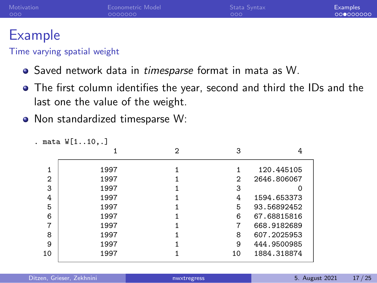| Motivation | Econometric Model | Stata Syntax | <b>Examples</b> |
|------------|-------------------|--------------|-----------------|
| 000        | - 0000000         | 000          | 000000000       |
|            |                   |              |                 |

# Example

#### Time varying spatial weight

- Saved network data in *timesparse* format in mata as W.
- The first column identifies the year, second and third the IDs and the last one the value of the weight.
- Non standardized timesparse W:

|                | . mata W[110,.] |   |    |             |
|----------------|-----------------|---|----|-------------|
|                |                 | 2 | 3  |             |
|                | 1997            |   |    | 120.445105  |
| $\overline{2}$ | 1997            |   | 2  | 2646.806067 |
| 3              | 1997            |   | 3  |             |
| 4              | 1997            |   | 4  | 1594.653373 |
| 5              | 1997            |   | 5  | 93.56892452 |
| 6              | 1997            |   | 6  | 67.68815816 |
| 7              | 1997            |   | 7  | 668.9182689 |
| 8              | 1997            |   | 8  | 607.2025953 |
| 9              | 1997            |   | 9  | 444.9500985 |
| 10             | 1997            |   | 10 | 1884.318874 |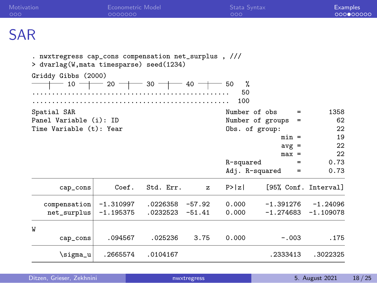| Motivation<br>000                                                                                | <b>Econometric Model</b><br>0000000                              |           |              | Stata Syntax<br>000 |                              | <b>Examples</b><br>000000000 |
|--------------------------------------------------------------------------------------------------|------------------------------------------------------------------|-----------|--------------|---------------------|------------------------------|------------------------------|
| SAR                                                                                              |                                                                  |           |              |                     |                              |                              |
| . nwxtregress cap_cons compensation net_surplus, ///<br>> dvarlag(W, mata timesparse) seed(1234) |                                                                  |           |              |                     |                              |                              |
| Griddy Gibbs (2000)                                                                              | $10 \rightarrow 20 \rightarrow 30 \rightarrow 40 \rightarrow 50$ |           |              | %<br>50<br>100      |                              |                              |
| Spatial SAR                                                                                      |                                                                  |           |              | Number of obs       | $=$                          | 1358                         |
|                                                                                                  | Panel Variable (i): ID                                           |           |              |                     | Number of groups<br>$\equiv$ | 62                           |
| Time Variable (t): Year                                                                          |                                                                  |           |              | Obs. of group:      |                              | 22                           |
|                                                                                                  |                                                                  |           |              |                     | $min =$                      | 19                           |
|                                                                                                  |                                                                  |           |              |                     | $avg =$                      | 22                           |
|                                                                                                  |                                                                  |           |              |                     | $max =$                      | 22                           |
|                                                                                                  |                                                                  |           |              | R-squared           | $=$                          | 0.73<br>0.73                 |
|                                                                                                  |                                                                  |           |              | Adj. R-squared      | $=$                          |                              |
| cap_cons                                                                                         | Coef.                                                            | Std. Err. | $\mathbf{z}$ | P >  z              | [95% Conf. Interval]         |                              |
| compensation                                                                                     | $-1.310997$                                                      | .0226358  | $-57.92$     | 0.000               | $-1.391276$                  | $-1.24096$                   |
| net_surplus                                                                                      | $-1.195375$                                                      | .0232523  | $-51.41$     | 0.000               | -1.274683                    | $-1.109078$                  |
| W                                                                                                |                                                                  |           |              |                     |                              |                              |
| cap_cons                                                                                         | .094567                                                          | .025236   | 3.75         | 0.000               | $-.003$                      | .175                         |
| \sigma_u                                                                                         | .2665574                                                         | .0104167  |              |                     | .2333413                     | .3022325                     |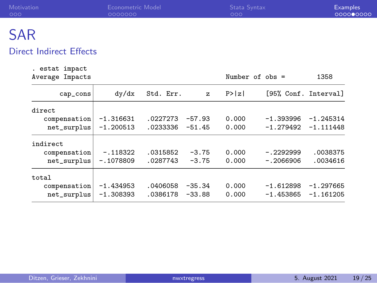| Motivation | Econometric Model | Stata Syntax | <b>Examples</b> |
|------------|-------------------|--------------|-----------------|
| 000        | 0000000           | 000          | 000000000       |
| <b>SAR</b> |                   |              |                 |

#### Direct Indirect Effects

. estat impact

| Average Impacts |             |           |              |        | Number of obs = | 1358                 |
|-----------------|-------------|-----------|--------------|--------|-----------------|----------------------|
| cap_cons        | dy/dx       | Std. Err. | $\mathbf{z}$ | P >  z |                 | [95% Conf. Interval] |
| direct          |             |           |              |        |                 |                      |
| compensation    | $-1.316631$ | .0227273  | $-57.93$     | 0.000  | $-1.393996$     | $-1.245314$          |
| net_surplus     | $-1.200513$ | .0233336  | $-51.45$     | 0.000  | $-1.279492$     | $-1.111448$          |
| indirect        |             |           |              |        |                 |                      |
| compensation    | $-.118322$  | .0315852  | $-3.75$      | 0.000  | $-.2292999$     | .0038375             |
| net_surplus     | $-.1078809$ | .0287743  | $-3.75$      | 0.000  | $-.2066906$     | .0034616             |
| total           |             |           |              |        |                 |                      |
| compensation    | $-1.434953$ | .0406058  | $-35.34$     | 0.000  | $-1.612898$     | $-1.297665$          |
| net_surplus     | $-1.308393$ | .0386178  | $-33.88$     | 0.000  | $-1.453865$     | $-1.161205$          |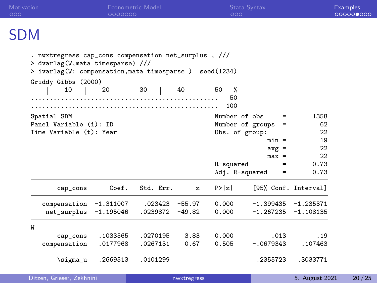| Motivation<br>000                                                                                                                         | 0000000                                   | <b>Econometric Model</b> |          | 000            | Stata Syntax       |                      | <b>Examples</b><br>000000000 |
|-------------------------------------------------------------------------------------------------------------------------------------------|-------------------------------------------|--------------------------|----------|----------------|--------------------|----------------------|------------------------------|
| <b>SDM</b>                                                                                                                                |                                           |                          |          |                |                    |                      |                              |
| . nwxtregress cap_cons compensation net_surplus, ///<br>> dvarlag(W, mata timesparse) ///<br>> ivarlag(W: compensation, mata timesparse ) |                                           |                          |          | seed(1234)     |                    |                      |                              |
| Griddy Gibbs (2000)                                                                                                                       | $-10$ - $-$ 20 - $-$ 30 - $-$ 40 - $-$ 50 |                          |          | %<br>50<br>100 |                    |                      |                              |
| Spatial SDM                                                                                                                               |                                           |                          |          | Number of obs  | $\qquad \qquad =$  | 1358                 |                              |
| Panel Variable (i): ID                                                                                                                    |                                           |                          |          |                | Number of groups = | 62                   |                              |
| Time Variable (t): Year                                                                                                                   |                                           |                          |          | Obs. of group: |                    | 22                   |                              |
|                                                                                                                                           |                                           |                          |          |                | $min =$            | 19                   |                              |
|                                                                                                                                           |                                           |                          |          |                | $avg =$            | 22                   |                              |
|                                                                                                                                           |                                           |                          |          |                | $max =$            | 22                   |                              |
|                                                                                                                                           |                                           |                          |          | R-squared      | $=$                | 0.73                 |                              |
|                                                                                                                                           |                                           |                          |          | Adj. R-squared | $=$                | 0.73                 |                              |
| cap_cons                                                                                                                                  | Coef.                                     | Std. Err.                | z        | P >  z         |                    | [95% Conf. Interval] |                              |
| compensation                                                                                                                              | $-1.311007$                               | .023423                  | $-55.97$ | 0.000          | $-1.399435$        | $-1.235371$          |                              |
| net_surplus                                                                                                                               | $-1.195046$                               | .0239872                 | $-49.82$ | 0.000          | $-1.267235$        | $-1.108135$          |                              |
| W                                                                                                                                         |                                           |                          |          |                |                    |                      |                              |
| cap_cons                                                                                                                                  | .1033565                                  | .0270195                 | 3.83     | 0.000          | .013               | .19                  |                              |
| compensation                                                                                                                              | .0177968                                  | .0267131                 | 0.67     | 0.505          | $-.0679343$        | .107463              |                              |
| \sigma_u                                                                                                                                  | .2669513                                  | .0101299                 |          |                | .2355723           | .3033771             |                              |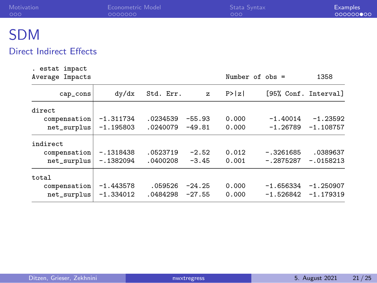| Motivation       | Econometric Model | Stata Syntax | <b>Examples</b> |
|------------------|-------------------|--------------|-----------------|
| 000              | 0000000           | 000          | 000000000       |
| C <sub>D</sub> M |                   |              |                 |

## SDM

#### Direct Indirect Effects

. estat impact

| Average Impacts |             |           |          |        | Number of obs =      | 1358        |
|-----------------|-------------|-----------|----------|--------|----------------------|-------------|
| cap_cons        | dy/dx       | Std. Err. | z        | P >  z | [95% Conf. Interval] |             |
| direct          |             |           |          |        |                      |             |
| compensation    | $-1.311734$ | .0234539  | $-55.93$ | 0.000  | $-1.40014$           | $-1.23592$  |
| net_surplus     | $-1.195803$ | .0240079  | $-49.81$ | 0.000  | $-1.26789$           | $-1.108757$ |
| indirect        |             |           |          |        |                      |             |
| compensation    | $-.1318438$ | .0523719  | $-2.52$  | 0.012  | $-.3261685$          | .0389637    |
| net_surplus     | $-.1382094$ | .0400208  | $-3.45$  | 0.001  | $-.2875287$          | $-.0158213$ |
| total           |             |           |          |        |                      |             |
| compensation    | $-1.443578$ | .059526   | $-24.25$ | 0.000  | $-1.656334$          | $-1.250907$ |
| net_surplus     | $-1.334012$ | .0484298  | $-27.55$ | 0.000  | $-1.526842$          | $-1.179319$ |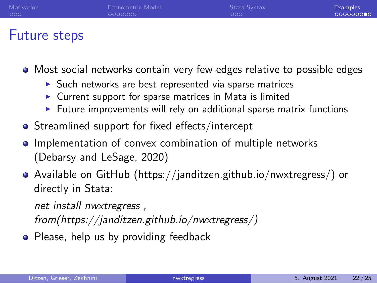| Motivation | Econometric Model | Stata Syntax | <b>Examples</b> |
|------------|-------------------|--------------|-----------------|
| 000        | LOOOOOOO          | 000          | 0000000000      |
|            |                   |              |                 |

## Future steps

- Most social networks contain very few edges relative to possible edges
	- ▶ Such networks are best represented via sparse matrices
	- $\triangleright$  Current support for sparse matrices in Mata is limited
	- $\blacktriangleright$  Future improvements will rely on additional sparse matrix functions
- **•** Streamlined support for fixed effects/intercept
- **Implementation of convex combination of multiple networks** [\(Debarsy and LeSage, 2020\)](#page-23-5)
- Available on GitHub (https://janditzen.github.io/nwxtregress/) or directly in Stata:

*net install nwxtregress ,*

*from(https://janditzen.github.io/nwxtregress/)*

• Please, help us by providing feedback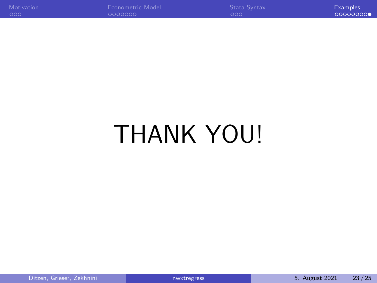| Motivation | Econometric Model | Stata Syntax      | <b>Examples</b> |
|------------|-------------------|-------------------|-----------------|
| - റററ      | 0000000           | LOOO <sup>*</sup> | 000000000       |

# THANK YOU!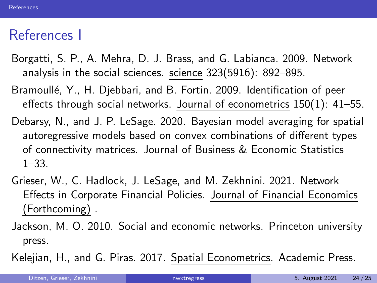## <span id="page-23-6"></span>References I

- <span id="page-23-0"></span>Borgatti, S. P., A. Mehra, D. J. Brass, and G. Labianca. 2009. Network analysis in the social sciences. science 323(5916): 892–895.
- <span id="page-23-3"></span>Bramoullé, Y., H. Djebbari, and B. Fortin. 2009. Identification of peer effects through social networks. Journal of econometrics 150(1): 41–55.
- <span id="page-23-5"></span>Debarsy, N., and J. P. LeSage. 2020. Bayesian model averaging for spatial autoregressive models based on convex combinations of different types of connectivity matrices. Journal of Business & Economic Statistics 1–33.
- <span id="page-23-4"></span>Grieser, W., C. Hadlock, J. LeSage, and M. Zekhnini. 2021. Network Effects in Corporate Financial Policies. Journal of Financial Economics (Forthcoming) .
- <span id="page-23-1"></span>Jackson, M. O. 2010. Social and economic networks. Princeton university press.
- <span id="page-23-2"></span>Kelejian, H., and G. Piras. 2017. Spatial Econometrics. Academic Press.